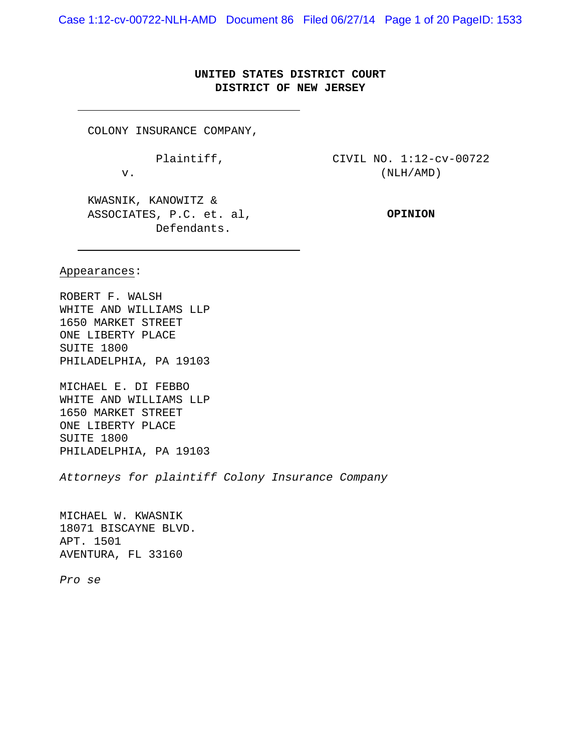Case 1:12-cv-00722-NLH-AMD Document 86 Filed 06/27/14 Page 1 of 20 PageID: 1533

# **UNITED STATES DISTRICT COURT DISTRICT OF NEW JERSEY**

COLONY INSURANCE COMPANY,

Plaintiff,

v.

CIVIL NO. 1:12-cv-00722 (NLH/AMD)

KWASNIK, KANOWITZ & ASSOCIATES, P.C. et. al, Defendants.

**OPINION**

Appearances:

ROBERT F. WALSH WHITE AND WILLIAMS LLP 1650 MARKET STREET ONE LIBERTY PLACE SUITE 1800 PHILADELPHIA, PA 19103

MICHAEL E. DI FEBBO WHITE AND WILLIAMS LLP 1650 MARKET STREET ONE LIBERTY PLACE SUITE 1800 PHILADELPHIA, PA 19103

*Attorneys for plaintiff Colony Insurance Company*

MICHAEL W. KWASNIK 18071 BISCAYNE BLVD. APT. 1501 AVENTURA, FL 33160

*Pro se*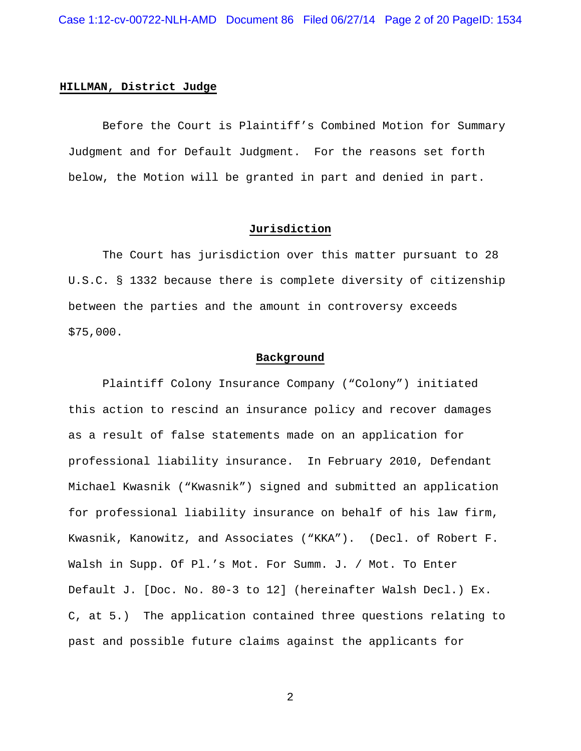### **HILLMAN, District Judge**

Before the Court is Plaintiff's Combined Motion for Summary Judgment and for Default Judgment. For the reasons set forth below, the Motion will be granted in part and denied in part.

# **Jurisdiction**

The Court has jurisdiction over this matter pursuant to 28 U.S.C. § 1332 because there is complete diversity of citizenship between the parties and the amount in controversy exceeds \$75,000.

#### **Background**

Plaintiff Colony Insurance Company ("Colony") initiated this action to rescind an insurance policy and recover damages as a result of false statements made on an application for professional liability insurance. In February 2010, Defendant Michael Kwasnik ("Kwasnik") signed and submitted an application for professional liability insurance on behalf of his law firm, Kwasnik, Kanowitz, and Associates ("KKA"). (Decl. of Robert F. Walsh in Supp. Of Pl.'s Mot. For Summ. J. / Mot. To Enter Default J. [Doc. No. 80-3 to 12] (hereinafter Walsh Decl.) Ex. C, at 5.) The application contained three questions relating to past and possible future claims against the applicants for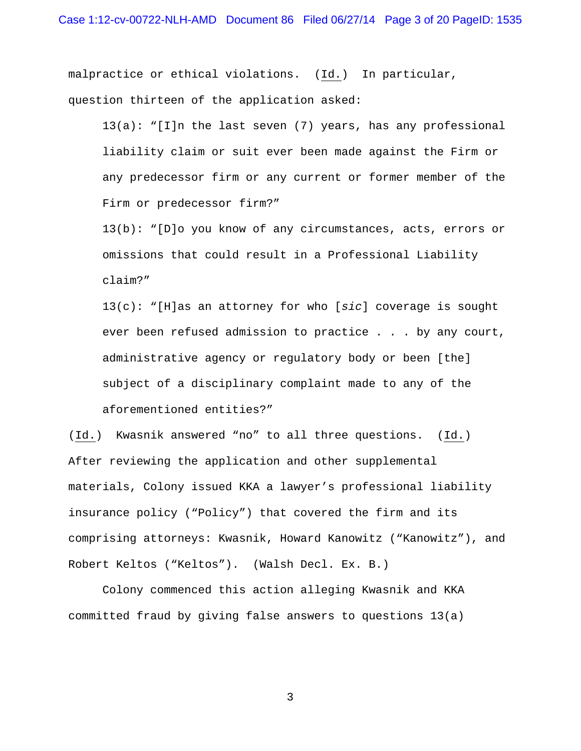malpractice or ethical violations. (Id.) In particular, question thirteen of the application asked:

 $13(a): "[1]n$  the last seven (7) years, has any professional liability claim or suit ever been made against the Firm or any predecessor firm or any current or former member of the Firm or predecessor firm?"

13(b): "[D]o you know of any circumstances, acts, errors or omissions that could result in a Professional Liability claim?"

13(c): "[H]as an attorney for who [*sic*] coverage is sought ever been refused admission to practice . . . by any court, administrative agency or regulatory body or been [the] subject of a disciplinary complaint made to any of the aforementioned entities?"

(Id.) Kwasnik answered "no" to all three questions. (Id.) After reviewing the application and other supplemental materials, Colony issued KKA a lawyer's professional liability insurance policy ("Policy") that covered the firm and its comprising attorneys: Kwasnik, Howard Kanowitz ("Kanowitz"), and Robert Keltos ("Keltos"). (Walsh Decl. Ex. B.)

Colony commenced this action alleging Kwasnik and KKA committed fraud by giving false answers to questions 13(a)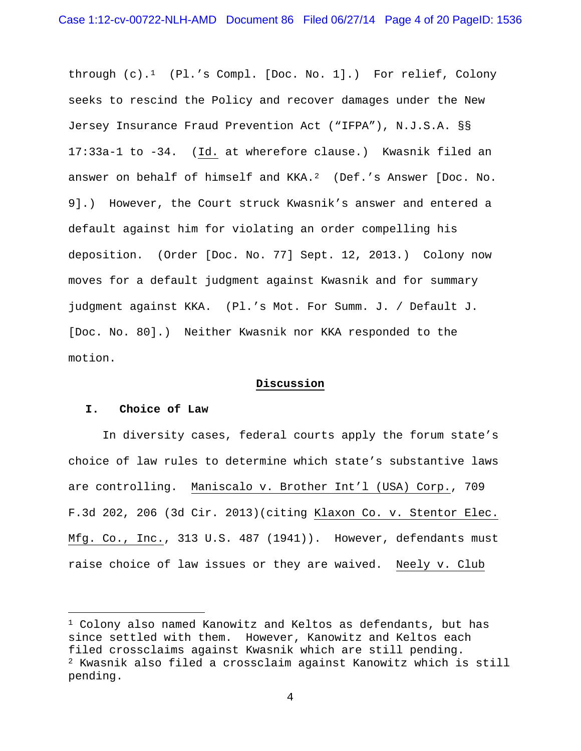through (c).[1](#page-3-0) (Pl.'s Compl. [Doc. No. 1].) For relief, Colony seeks to rescind the Policy and recover damages under the New Jersey Insurance Fraud Prevention Act ("IFPA"), N.J.S.A. §§ 17:33a-1 to -34. (Id. at wherefore clause.) Kwasnik filed an answer on behalf of himself and KKA.<sup>2</sup> (Def.'s Answer [Doc. No. 9].) However, the Court struck Kwasnik's answer and entered a default against him for violating an order compelling his deposition. (Order [Doc. No. 77] Sept. 12, 2013.) Colony now moves for a default judgment against Kwasnik and for summary judgment against KKA. (Pl.'s Mot. For Summ. J. / Default J. [Doc. No. 80].) Neither Kwasnik nor KKA responded to the motion.

# **Discussion**

# **I. Choice of Law**

ī

In diversity cases, federal courts apply the forum state's choice of law rules to determine which state's substantive laws are controlling. Maniscalo v. Brother Int'l (USA) Corp., 709 F.3d 202, 206 (3d Cir. 2013)(citing Klaxon Co. v. Stentor Elec. Mfg. Co., Inc., 313 U.S. 487 (1941)). However, defendants must raise choice of law issues or they are waived. Neely v. Club

<span id="page-3-1"></span><span id="page-3-0"></span><sup>1</sup> Colony also named Kanowitz and Keltos as defendants, but has since settled with them. However, Kanowitz and Keltos each filed crossclaims against Kwasnik which are still pending. <sup>2</sup> Kwasnik also filed a crossclaim against Kanowitz which is still pending.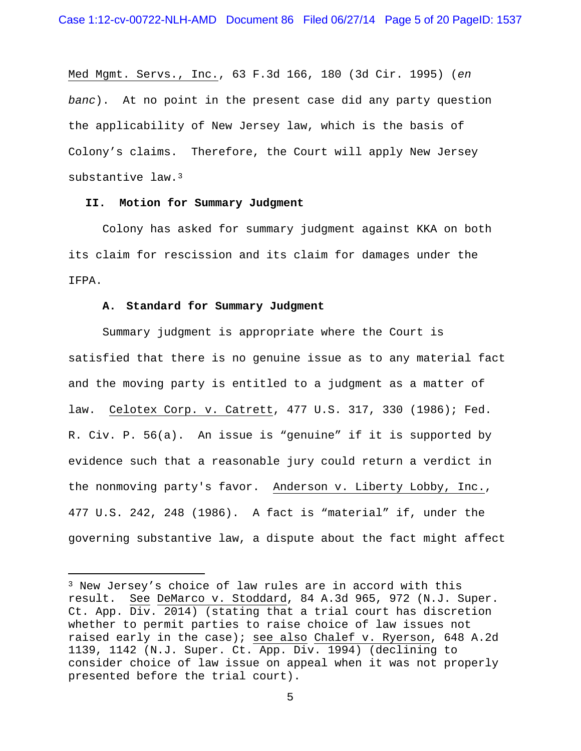Med Mgmt. Servs., Inc., 63 F.3d 166, 180 (3d Cir. 1995) (*en banc*). At no point in the present case did any party question the applicability of New Jersey law, which is the basis of Colony's claims. Therefore, the Court will apply New Jersey substantive law.[3](#page-4-0)

# **II. Motion for Summary Judgment**

Colony has asked for summary judgment against KKA on both its claim for rescission and its claim for damages under the IFPA.

# **A. Standard for Summary Judgment**

ī

Summary judgment is appropriate where the Court is satisfied that there is no genuine issue as to any material fact and the moving party is entitled to a judgment as a matter of law. Celotex Corp. v. Catrett, 477 U.S. 317, 330 (1986); Fed. R. Civ. P. 56(a). An issue is "genuine" if it is supported by evidence such that a reasonable jury could return a verdict in the nonmoving party's favor. Anderson v. Liberty Lobby, Inc., 477 U.S. 242, 248 (1986). A fact is "material" if, under the governing substantive law, a dispute about the fact might affect

<span id="page-4-0"></span><sup>3</sup> New Jersey's choice of law rules are in accord with this result. See DeMarco v. Stoddard, 84 A.3d 965, 972 (N.J. Super. Ct. App. Div. 2014) (stating that a trial court has discretion whether to permit parties to raise choice of law issues not raised early in the case); see also Chalef v. Ryerson, 648 A.2d 1139, 1142 (N.J. Super. Ct. App. Div. 1994) (declining to consider choice of law issue on appeal when it was not properly presented before the trial court).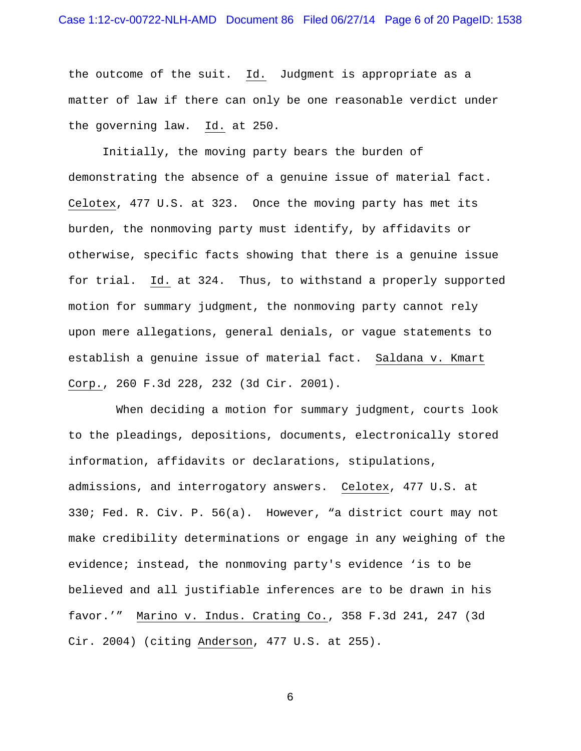the outcome of the suit. Id. Judgment is appropriate as a matter of law if there can only be one reasonable verdict under the governing law. Id. at 250.

Initially, the moving party bears the burden of demonstrating the absence of a genuine issue of material fact. Celotex, 477 U.S. at 323. Once the moving party has met its burden, the nonmoving party must identify, by affidavits or otherwise, specific facts showing that there is a genuine issue for trial. Id. at 324. Thus, to withstand a properly supported motion for summary judgment, the nonmoving party cannot rely upon mere allegations, general denials, or vague statements to establish a genuine issue of material fact. Saldana v. Kmart Corp., 260 F.3d 228, 232 (3d Cir. 2001).

 When deciding a motion for summary judgment, courts look to the pleadings, depositions, documents, electronically stored information, affidavits or declarations, stipulations, admissions, and interrogatory answers. Celotex, 477 U.S. at 330; Fed. R. Civ. P. 56(a). However, "a district court may not make credibility determinations or engage in any weighing of the evidence; instead, the nonmoving party's evidence 'is to be believed and all justifiable inferences are to be drawn in his favor.'" Marino v. Indus. Crating Co., 358 F.3d 241, 247 (3d Cir. 2004) (citing Anderson, 477 U.S. at 255).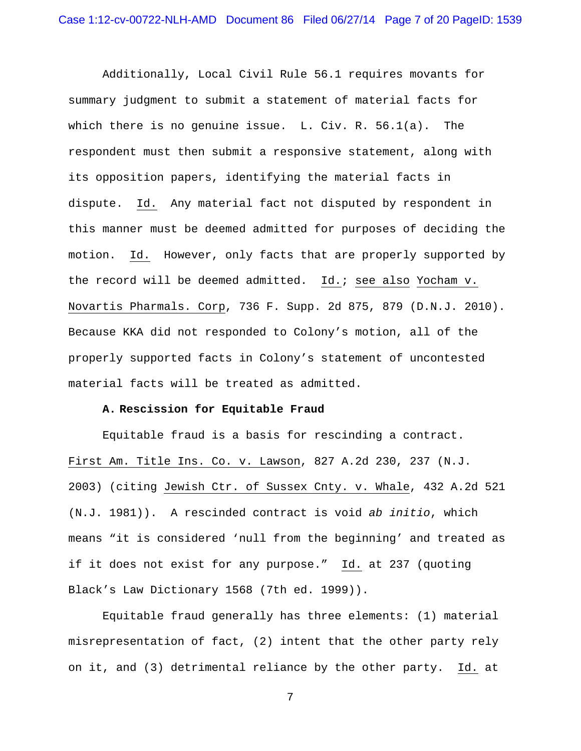Additionally, Local Civil Rule 56.1 requires movants for summary judgment to submit a statement of material facts for which there is no genuine issue. L. Civ. R. 56.1(a). The respondent must then submit a responsive statement, along with its opposition papers, identifying the material facts in dispute. Id. Any material fact not disputed by respondent in this manner must be deemed admitted for purposes of deciding the motion. Id. However, only facts that are properly supported by the record will be deemed admitted. Id.; see also Yocham v. Novartis Pharmals. Corp, 736 F. Supp. 2d 875, 879 (D.N.J. 2010). Because KKA did not responded to Colony's motion, all of the properly supported facts in Colony's statement of uncontested material facts will be treated as admitted.

# **A. Rescission for Equitable Fraud**

Equitable fraud is a basis for rescinding a contract. First Am. Title Ins. Co. v. Lawson, 827 A.2d 230, 237 (N.J. 2003) (citing Jewish Ctr. of Sussex Cnty. v. Whale, 432 A.2d 521 (N.J. 1981)). A rescinded contract is void *ab initio*, which means "it is considered 'null from the beginning' and treated as if it does not exist for any purpose." Id. at 237 (quoting Black's Law Dictionary 1568 (7th ed. 1999)).

Equitable fraud generally has three elements: (1) material misrepresentation of fact, (2) intent that the other party rely on it, and (3) detrimental reliance by the other party. Id. at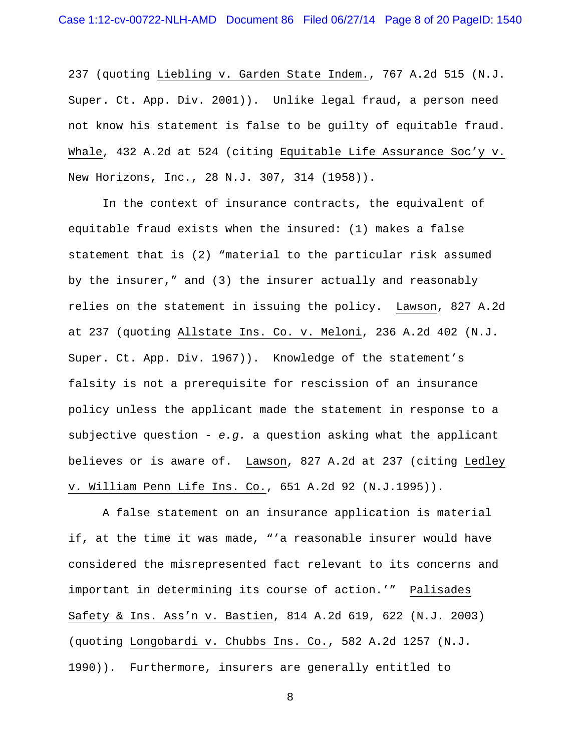237 (quoting Liebling v. Garden State Indem., 767 A.2d 515 (N.J. Super. Ct. App. Div. 2001)). Unlike legal fraud, a person need not know his statement is false to be guilty of equitable fraud. Whale, 432 A.2d at 524 (citing Equitable Life Assurance Soc'y v. New Horizons, Inc., 28 N.J. 307, 314 (1958)).

In the context of insurance contracts, the equivalent of equitable fraud exists when the insured: (1) makes a false statement that is (2) "material to the particular risk assumed by the insurer," and (3) the insurer actually and reasonably relies on the statement in issuing the policy. Lawson, 827 A.2d at 237 (quoting Allstate Ins. Co. v. Meloni, 236 A.2d 402 (N.J. Super. Ct. App. Div. 1967)). Knowledge of the statement's falsity is not a prerequisite for rescission of an insurance policy unless the applicant made the statement in response to a subjective question - *e.g.* a question asking what the applicant believes or is aware of. Lawson, 827 A.2d at 237 (citing Ledley v. William Penn Life Ins. Co., 651 A.2d 92 (N.J.1995)).

A false statement on an insurance application is material if, at the time it was made, "'a reasonable insurer would have considered the misrepresented fact relevant to its concerns and important in determining its course of action.'" Palisades Safety & Ins. Ass'n v. Bastien, 814 A.2d 619, 622 (N.J. 2003) (quoting Longobardi v. Chubbs Ins. Co., 582 A.2d 1257 (N.J. 1990)). Furthermore, insurers are generally entitled to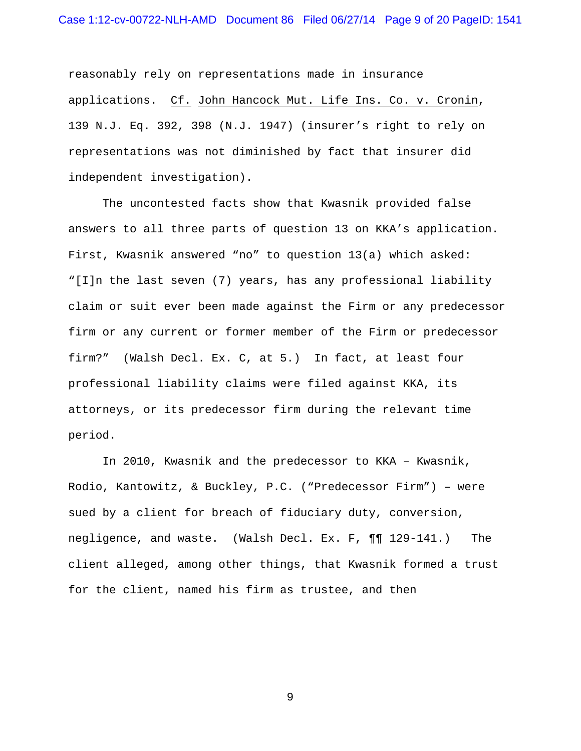reasonably rely on representations made in insurance applications. Cf. John Hancock Mut. Life Ins. Co. v. Cronin, 139 N.J. Eq. 392, 398 (N.J. 1947) (insurer's right to rely on representations was not diminished by fact that insurer did independent investigation).

The uncontested facts show that Kwasnik provided false answers to all three parts of question 13 on KKA's application. First, Kwasnik answered "no" to question 13(a) which asked: "[I]n the last seven (7) years, has any professional liability claim or suit ever been made against the Firm or any predecessor firm or any current or former member of the Firm or predecessor firm?" (Walsh Decl. Ex. C, at 5.) In fact, at least four professional liability claims were filed against KKA, its attorneys, or its predecessor firm during the relevant time period.

In 2010, Kwasnik and the predecessor to KKA – Kwasnik, Rodio, Kantowitz, & Buckley, P.C. ("Predecessor Firm") – were sued by a client for breach of fiduciary duty, conversion, negligence, and waste. (Walsh Decl. Ex. F, ¶¶ 129-141.) The client alleged, among other things, that Kwasnik formed a trust for the client, named his firm as trustee, and then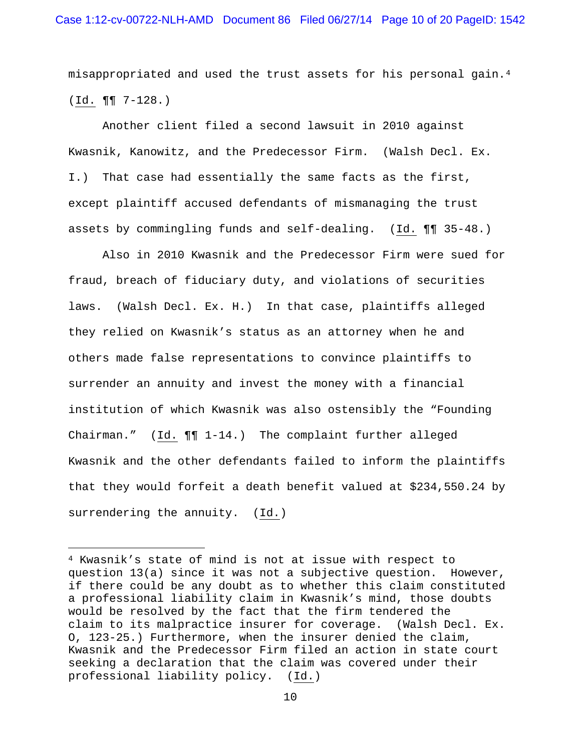misappropriated and used the trust assets for his personal gain.[4](#page-9-0) (Id. ¶¶ 7-128.)

Another client filed a second lawsuit in 2010 against Kwasnik, Kanowitz, and the Predecessor Firm. (Walsh Decl. Ex. I.) That case had essentially the same facts as the first, except plaintiff accused defendants of mismanaging the trust assets by commingling funds and self-dealing. (Id. ¶¶ 35-48.)

Also in 2010 Kwasnik and the Predecessor Firm were sued for fraud, breach of fiduciary duty, and violations of securities laws. (Walsh Decl. Ex. H.) In that case, plaintiffs alleged they relied on Kwasnik's status as an attorney when he and others made false representations to convince plaintiffs to surrender an annuity and invest the money with a financial institution of which Kwasnik was also ostensibly the "Founding Chairman." (Id. ¶¶ 1-14.) The complaint further alleged Kwasnik and the other defendants failed to inform the plaintiffs that they would forfeit a death benefit valued at \$234,550.24 by surrendering the annuity. (Id.)

ī

<span id="page-9-0"></span><sup>4</sup> Kwasnik's state of mind is not at issue with respect to question 13(a) since it was not a subjective question. However, if there could be any doubt as to whether this claim constituted a professional liability claim in Kwasnik's mind, those doubts would be resolved by the fact that the firm tendered the claim to its malpractice insurer for coverage. (Walsh Decl. Ex. O, 123-25.) Furthermore, when the insurer denied the claim, Kwasnik and the Predecessor Firm filed an action in state court seeking a declaration that the claim was covered under their professional liability policy. (Id.)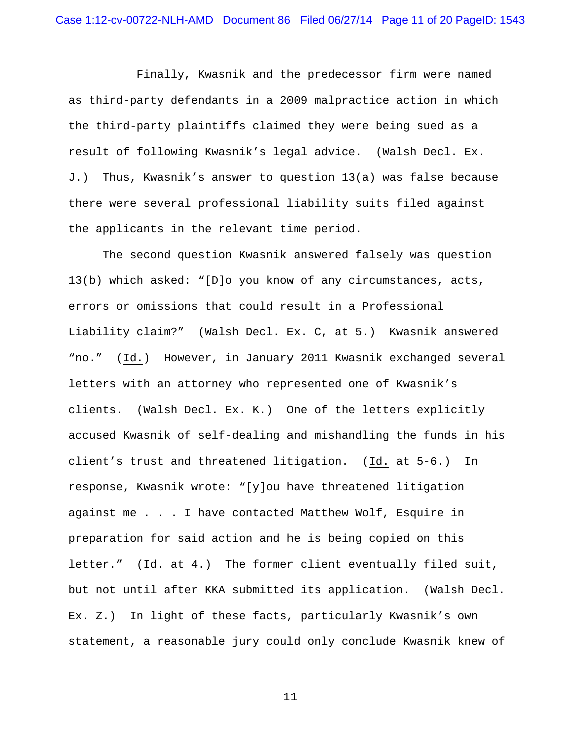Finally, Kwasnik and the predecessor firm were named as third-party defendants in a 2009 malpractice action in which the third-party plaintiffs claimed they were being sued as a result of following Kwasnik's legal advice. (Walsh Decl. Ex. J.) Thus, Kwasnik's answer to question 13(a) was false because there were several professional liability suits filed against the applicants in the relevant time period.

The second question Kwasnik answered falsely was question 13(b) which asked: "[D]o you know of any circumstances, acts, errors or omissions that could result in a Professional Liability claim?" (Walsh Decl. Ex. C, at 5.) Kwasnik answered "no." (Id.) However, in January 2011 Kwasnik exchanged several letters with an attorney who represented one of Kwasnik's clients. (Walsh Decl. Ex. K.) One of the letters explicitly accused Kwasnik of self-dealing and mishandling the funds in his client's trust and threatened litigation. (Id. at 5-6.) In response, Kwasnik wrote: "[y]ou have threatened litigation against me . . . I have contacted Matthew Wolf, Esquire in preparation for said action and he is being copied on this letter." (Id. at 4.) The former client eventually filed suit, but not until after KKA submitted its application. (Walsh Decl. Ex. Z.) In light of these facts, particularly Kwasnik's own statement, a reasonable jury could only conclude Kwasnik knew of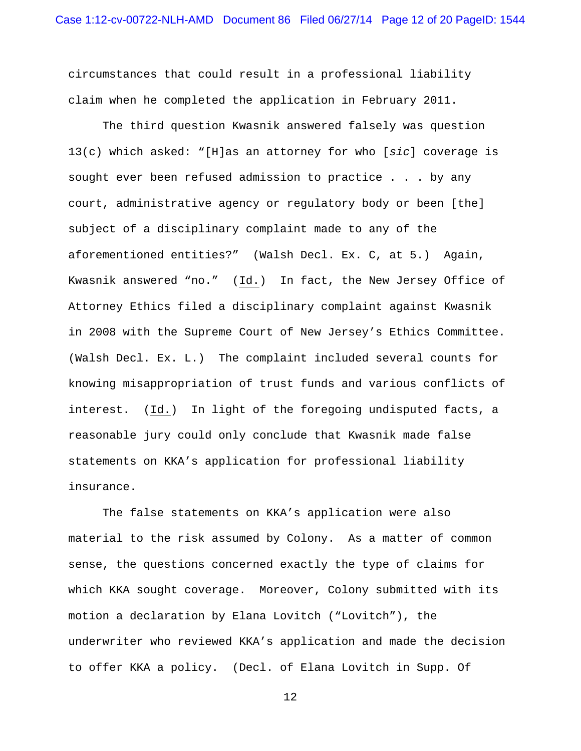circumstances that could result in a professional liability claim when he completed the application in February 2011.

The third question Kwasnik answered falsely was question 13(c) which asked: "[H]as an attorney for who [*sic*] coverage is sought ever been refused admission to practice . . . by any court, administrative agency or regulatory body or been [the] subject of a disciplinary complaint made to any of the aforementioned entities?" (Walsh Decl. Ex. C, at 5.) Again, Kwasnik answered "no." (Id.) In fact, the New Jersey Office of Attorney Ethics filed a disciplinary complaint against Kwasnik in 2008 with the Supreme Court of New Jersey's Ethics Committee. (Walsh Decl. Ex. L.) The complaint included several counts for knowing misappropriation of trust funds and various conflicts of interest. (Id.) In light of the foregoing undisputed facts, a reasonable jury could only conclude that Kwasnik made false statements on KKA's application for professional liability insurance.

The false statements on KKA's application were also material to the risk assumed by Colony. As a matter of common sense, the questions concerned exactly the type of claims for which KKA sought coverage. Moreover, Colony submitted with its motion a declaration by Elana Lovitch ("Lovitch"), the underwriter who reviewed KKA's application and made the decision to offer KKA a policy. (Decl. of Elana Lovitch in Supp. Of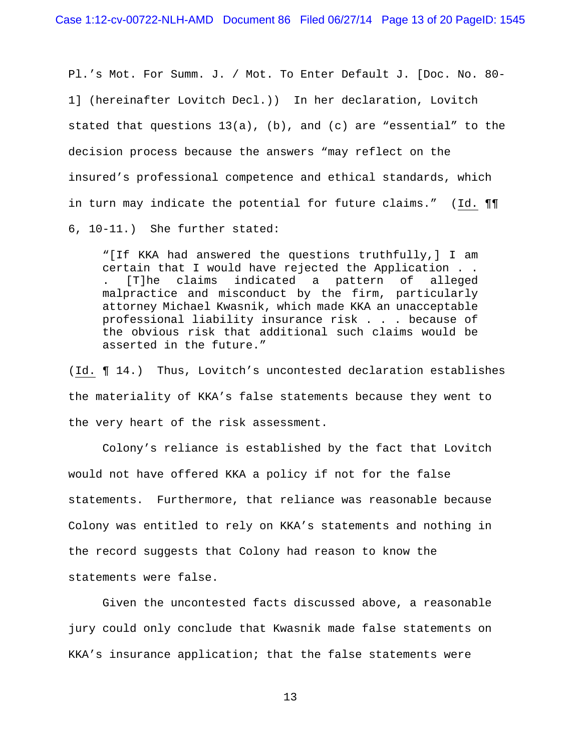Pl.'s Mot. For Summ. J. / Mot. To Enter Default J. [Doc. No. 80- 1] (hereinafter Lovitch Decl.)) In her declaration, Lovitch stated that questions  $13(a)$ , (b), and (c) are "essential" to the decision process because the answers "may reflect on the insured's professional competence and ethical standards, which in turn may indicate the potential for future claims." (Id. ¶¶ 6, 10-11.) She further stated:

"[If KKA had answered the questions truthfully,] I am certain that I would have rejected the Application . . . [T]he claims indicated a pattern of alleged malpractice and misconduct by the firm, particularly attorney Michael Kwasnik, which made KKA an unacceptable professional liability insurance risk . . . because of the obvious risk that additional such claims would be asserted in the future."

(Id. ¶ 14.) Thus, Lovitch's uncontested declaration establishes the materiality of KKA's false statements because they went to the very heart of the risk assessment.

Colony's reliance is established by the fact that Lovitch would not have offered KKA a policy if not for the false statements. Furthermore, that reliance was reasonable because Colony was entitled to rely on KKA's statements and nothing in the record suggests that Colony had reason to know the statements were false.

Given the uncontested facts discussed above, a reasonable jury could only conclude that Kwasnik made false statements on KKA's insurance application; that the false statements were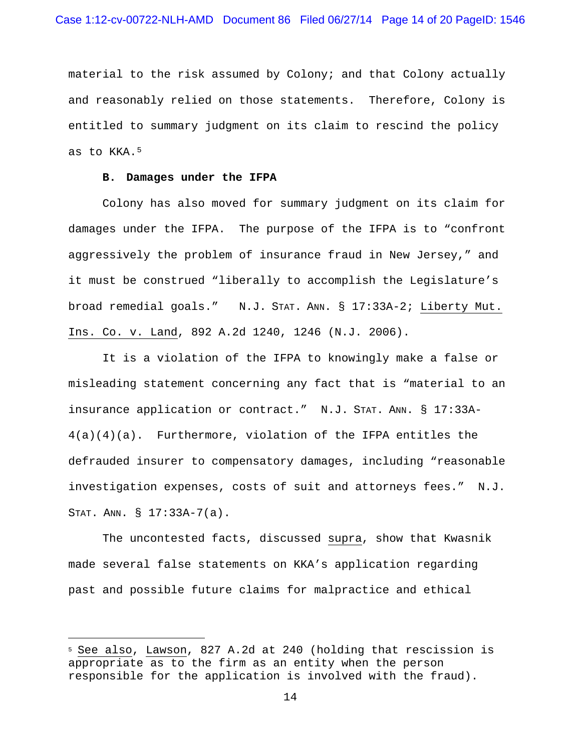material to the risk assumed by Colony; and that Colony actually and reasonably relied on those statements. Therefore, Colony is entitled to summary judgment on its claim to rescind the policy as to KKA.<sup>[5](#page-13-0)</sup>

# **B. Damages under the IFPA**

ī

Colony has also moved for summary judgment on its claim for damages under the IFPA. The purpose of the IFPA is to "confront aggressively the problem of insurance fraud in New Jersey," and it must be construed "liberally to accomplish the Legislature's broad remedial goals." N.J. STAT. ANN. § 17:33A-2; Liberty Mut. Ins. Co. v. Land, 892 A.2d 1240, 1246 (N.J. 2006).

It is a violation of the IFPA to knowingly make a false or misleading statement concerning any fact that is "material to an insurance application or contract." N.J. STAT. ANN. § 17:33A-4(a)(4)(a). Furthermore, violation of the IFPA entitles the defrauded insurer to compensatory damages, including "reasonable investigation expenses, costs of suit and attorneys fees." N.J. STAT. ANN. § 17:33A-7(a).

The uncontested facts, discussed supra, show that Kwasnik made several false statements on KKA's application regarding past and possible future claims for malpractice and ethical

<span id="page-13-0"></span><sup>5</sup> See also, Lawson, 827 A.2d at 240 (holding that rescission is appropriate as to the firm as an entity when the person responsible for the application is involved with the fraud).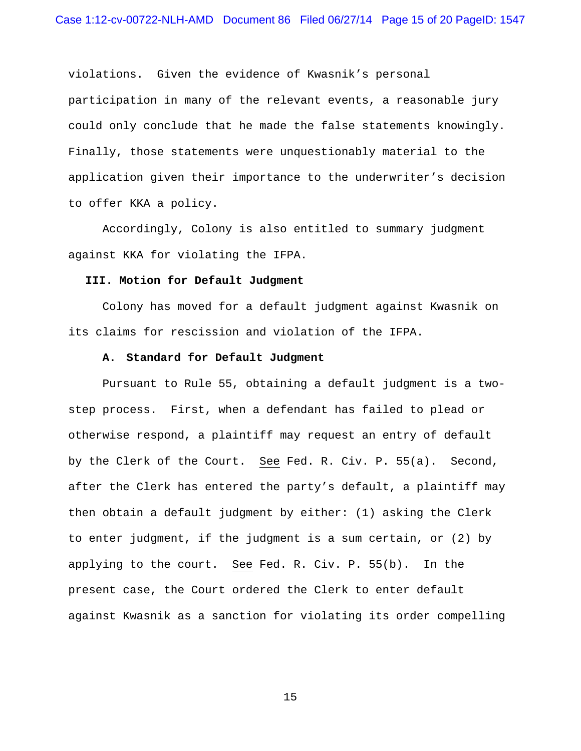violations. Given the evidence of Kwasnik's personal participation in many of the relevant events, a reasonable jury could only conclude that he made the false statements knowingly. Finally, those statements were unquestionably material to the application given their importance to the underwriter's decision to offer KKA a policy.

Accordingly, Colony is also entitled to summary judgment against KKA for violating the IFPA.

# **III. Motion for Default Judgment**

Colony has moved for a default judgment against Kwasnik on its claims for rescission and violation of the IFPA.

#### **A. Standard for Default Judgment**

Pursuant to Rule 55, obtaining a default judgment is a twostep process. First, when a defendant has failed to plead or otherwise respond, a plaintiff may request an entry of default by the Clerk of the Court. See Fed. R. Civ. P. 55(a). Second, after the Clerk has entered the party's default, a plaintiff may then obtain a default judgment by either: (1) asking the Clerk to enter judgment, if the judgment is a sum certain, or (2) by applying to the court. See Fed. R. Civ. P. 55(b). In the present case, the Court ordered the Clerk to enter default against Kwasnik as a sanction for violating its order compelling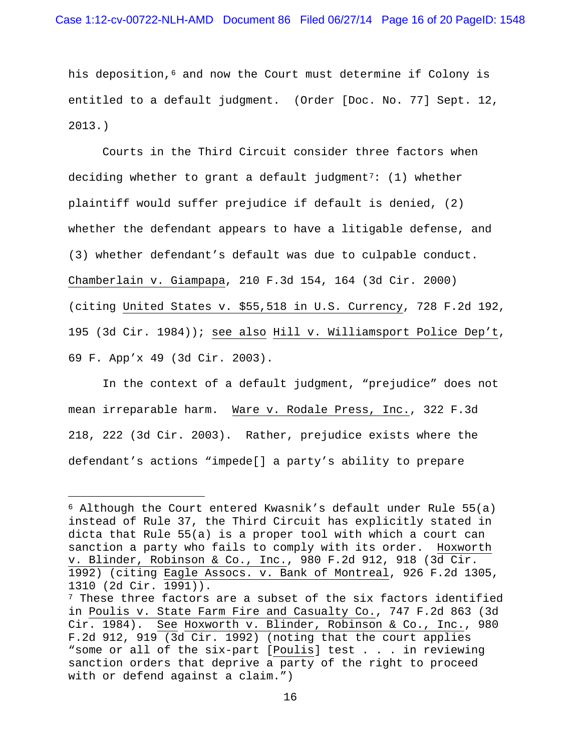his deposition,<sup>[6](#page-15-0)</sup> and now the Court must determine if Colony is entitled to a default judgment. (Order [Doc. No. 77] Sept. 12, 2013.)

Courts in the Third Circuit consider three factors when deciding whether to grant a default judgment<sup>[7](#page-15-1)</sup>: (1) whether plaintiff would suffer prejudice if default is denied, (2) whether the defendant appears to have a litigable defense, and (3) whether defendant's default was due to culpable conduct. Chamberlain v. Giampapa, 210 F.3d 154, 164 (3d Cir. 2000) (citing United States v. \$55,518 in U.S. Currency, 728 F.2d 192, 195 (3d Cir. 1984)); see also Hill v. Williamsport Police Dep't, 69 F. App'x 49 (3d Cir. 2003).

In the context of a default judgment, "prejudice" does not mean irreparable harm. Ware v. Rodale Press, Inc., 322 F.3d 218, 222 (3d Cir. 2003). Rather, prejudice exists where the defendant's actions "impede[] a party's ability to prepare

ī

<span id="page-15-1"></span><span id="page-15-0"></span> $6$  Although the Court entered Kwasnik's default under Rule 55(a) instead of Rule 37, the Third Circuit has explicitly stated in dicta that Rule 55(a) is a proper tool with which a court can sanction a party who fails to comply with its order. Hoxworth v. Blinder, Robinson & Co., Inc., 980 F.2d 912, 918 (3d Cir. 1992) (citing Eagle Assocs. v. Bank of Montreal, 926 F.2d 1305, 1310 (2d Cir. 1991)). <sup>7</sup> These three factors are a subset of the six factors identified in Poulis v. State Farm Fire and Casualty Co., 747 F.2d 863 (3d Cir. 1984). See Hoxworth v. Blinder, Robinson & Co., Inc., 980 F.2d 912, 919 (3d Cir. 1992) (noting that the court applies "some or all of the six-part [Poulis] test . . . in reviewing sanction orders that deprive a party of the right to proceed with or defend against a claim.")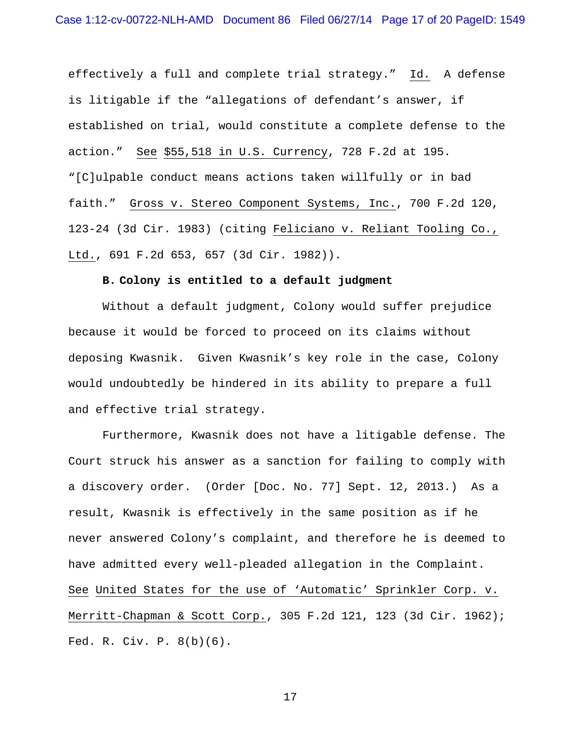effectively a full and complete trial strategy." Id. A defense is litigable if the "allegations of defendant's answer, if established on trial, would constitute a complete defense to the action." See \$55,518 in U.S. Currency, 728 F.2d at 195. "[C]ulpable conduct means actions taken willfully or in bad faith." Gross v. Stereo Component Systems, Inc., 700 F.2d 120, 123-24 (3d Cir. 1983) (citing Feliciano v. Reliant Tooling Co., Ltd., 691 F.2d 653, 657 (3d Cir. 1982)).

# **B. Colony is entitled to a default judgment**

Without a default judgment, Colony would suffer prejudice because it would be forced to proceed on its claims without deposing Kwasnik. Given Kwasnik's key role in the case, Colony would undoubtedly be hindered in its ability to prepare a full and effective trial strategy.

Furthermore, Kwasnik does not have a litigable defense. The Court struck his answer as a sanction for failing to comply with a discovery order. (Order [Doc. No. 77] Sept. 12, 2013.) As a result, Kwasnik is effectively in the same position as if he never answered Colony's complaint, and therefore he is deemed to have admitted every well-pleaded allegation in the Complaint. See United States for the use of 'Automatic' Sprinkler Corp. v. Merritt-Chapman & Scott Corp., 305 F.2d 121, 123 (3d Cir. 1962); Fed. R. Civ. P. 8(b)(6).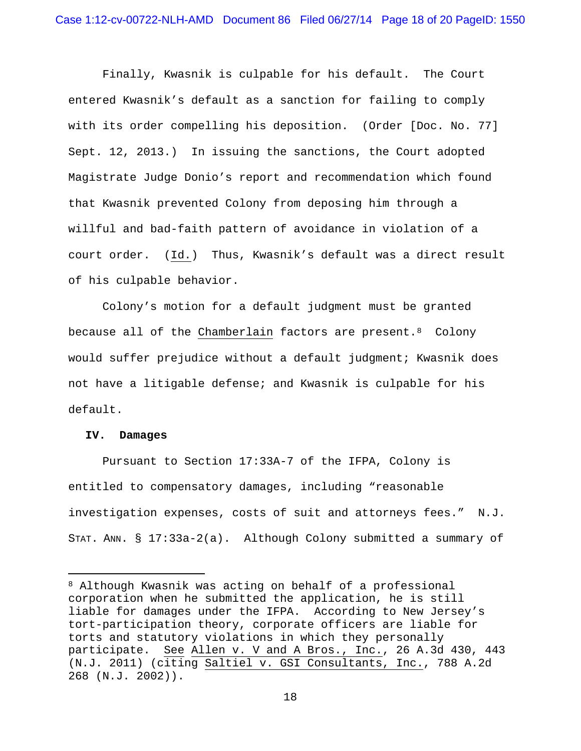Finally, Kwasnik is culpable for his default. The Court entered Kwasnik's default as a sanction for failing to comply with its order compelling his deposition. (Order [Doc. No. 77] Sept. 12, 2013.) In issuing the sanctions, the Court adopted Magistrate Judge Donio's report and recommendation which found that Kwasnik prevented Colony from deposing him through a willful and bad-faith pattern of avoidance in violation of a court order. (Id.) Thus, Kwasnik's default was a direct result of his culpable behavior.

Colony's motion for a default judgment must be granted because all of the Chamberlain factors are present.  $8$  Colony would suffer prejudice without a default judgment; Kwasnik does not have a litigable defense; and Kwasnik is culpable for his default.

#### **IV. Damages**

Pursuant to Section 17:33A-7 of the IFPA, Colony is entitled to compensatory damages, including "reasonable investigation expenses, costs of suit and attorneys fees." N.J. STAT. ANN. § 17:33a-2(a). Although Colony submitted a summary of

<span id="page-17-0"></span><sup>8</sup> Although Kwasnik was acting on behalf of a professional corporation when he submitted the application, he is still liable for damages under the IFPA. According to New Jersey's tort-participation theory, corporate officers are liable for torts and statutory violations in which they personally participate. See Allen v. V and A Bros., Inc., 26 A.3d 430, 443 (N.J. 2011) (citing Saltiel v. GSI Consultants, Inc., 788 A.2d 268 (N.J. 2002)). ī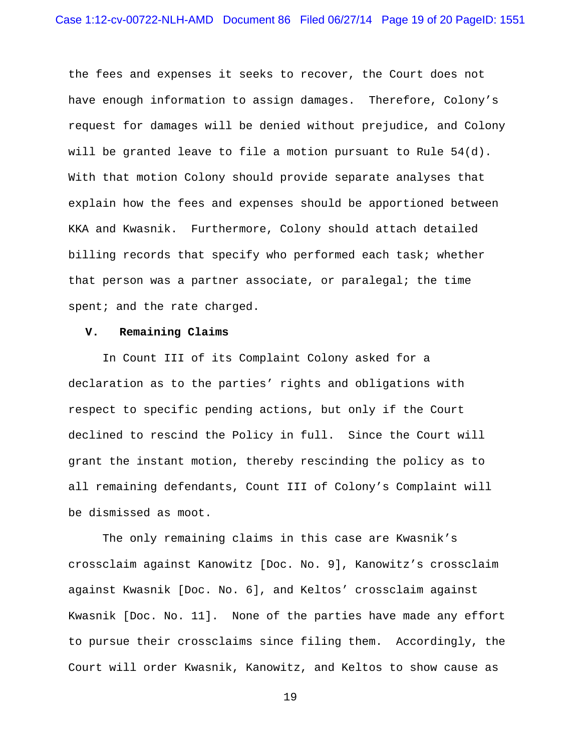the fees and expenses it seeks to recover, the Court does not have enough information to assign damages. Therefore, Colony's request for damages will be denied without prejudice, and Colony will be granted leave to file a motion pursuant to Rule 54(d). With that motion Colony should provide separate analyses that explain how the fees and expenses should be apportioned between KKA and Kwasnik. Furthermore, Colony should attach detailed billing records that specify who performed each task; whether that person was a partner associate, or paralegal; the time spent; and the rate charged.

# **V. Remaining Claims**

In Count III of its Complaint Colony asked for a declaration as to the parties' rights and obligations with respect to specific pending actions, but only if the Court declined to rescind the Policy in full. Since the Court will grant the instant motion, thereby rescinding the policy as to all remaining defendants, Count III of Colony's Complaint will be dismissed as moot.

The only remaining claims in this case are Kwasnik's crossclaim against Kanowitz [Doc. No. 9], Kanowitz's crossclaim against Kwasnik [Doc. No. 6], and Keltos' crossclaim against Kwasnik [Doc. No. 11]. None of the parties have made any effort to pursue their crossclaims since filing them. Accordingly, the Court will order Kwasnik, Kanowitz, and Keltos to show cause as